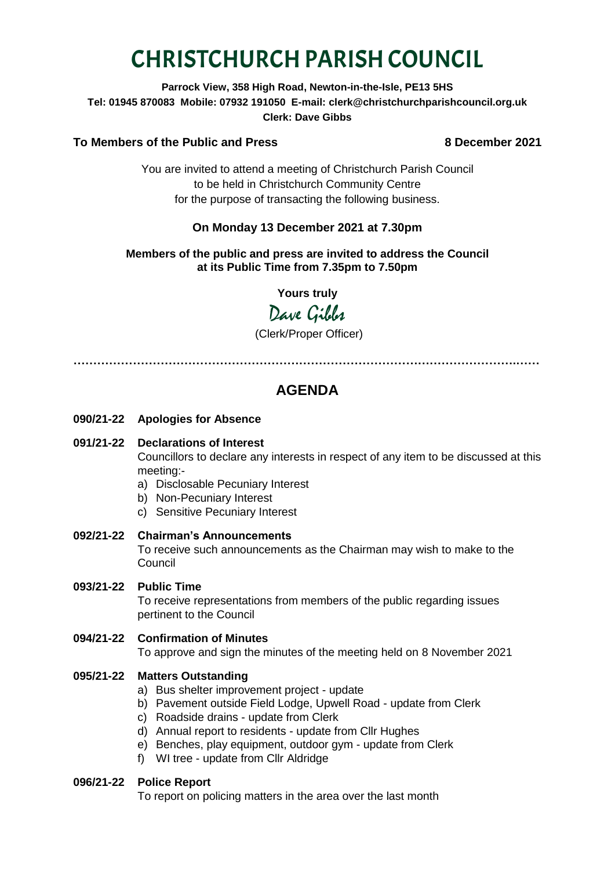# CHRISTCHURCH PARISH COUNCIL

### **Parrock View, 358 High Road, Newton-in-the-Isle, PE13 5HS Tel: 01945 870083 Mobile: 07932 191050 E-mail: clerk@christchurchparishcouncil.org.uk Clerk: Dave Gibbs**

# **To Members of the Public and Press 8 December 2021**

You are invited to attend a meeting of Christchurch Parish Council to be held in Christchurch Community Centre for the purpose of transacting the following business.

# **On Monday 13 December 2021 at 7.30pm**

**Members of the public and press are invited to address the Council at its Public Time from 7.35pm to 7.50pm**

**Yours truly**

Dave Gibbs

(Clerk/Proper Officer)

**………………………………………………………………………………………………….……**

# **AGENDA**

**090/21-22 Apologies for Absence**

# **091/21-22 Declarations of Interest**

Councillors to declare any interests in respect of any item to be discussed at this meeting:-

- a) Disclosable Pecuniary Interest
- b) Non-Pecuniary Interest
- c) Sensitive Pecuniary Interest
- **092/21-22 Chairman's Announcements** To receive such announcements as the Chairman may wish to make to the Council
- **093/21-22 Public Time**

To receive representations from members of the public regarding issues pertinent to the Council

**094/21-22 Confirmation of Minutes**  To approve and sign the minutes of the meeting held on 8 November 2021

# **095/21-22 Matters Outstanding**

- a) Bus shelter improvement project update
- b) Pavement outside Field Lodge, Upwell Road update from Clerk
- c) Roadside drains update from Clerk
- d) Annual report to residents update from Cllr Hughes
- e) Benches, play equipment, outdoor gym update from Clerk
- f) WI tree update from Cllr Aldridge

#### **096/21-22 Police Report**

To report on policing matters in the area over the last month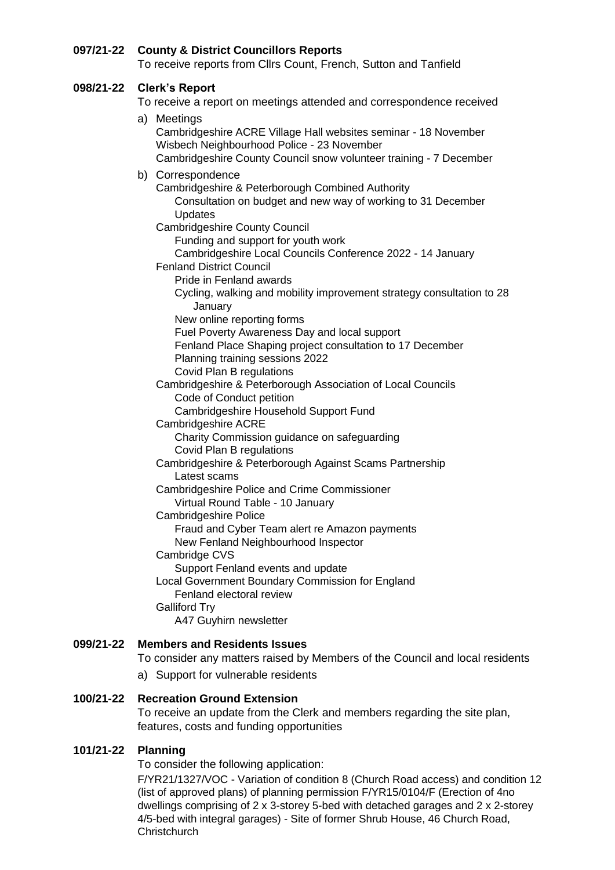#### **097/21-22 County & District Councillors Reports**

To receive reports from Cllrs Count, French, Sutton and Tanfield

#### **098/21-22 Clerk's Report**

To receive a report on meetings attended and correspondence received

#### a) Meetings

Cambridgeshire ACRE Village Hall websites seminar - 18 November Wisbech Neighbourhood Police - 23 November Cambridgeshire County Council snow volunteer training - 7 December

#### b) Correspondence

Cambridgeshire & Peterborough Combined Authority Consultation on budget and new way of working to 31 December Updates

#### Cambridgeshire County Council

Funding and support for youth work

Cambridgeshire Local Councils Conference 2022 - 14 January

- Fenland District Council
	- Pride in Fenland awards
	- Cycling, walking and mobility improvement strategy consultation to 28 January

New online reporting forms

Fuel Poverty Awareness Day and local support

- Fenland Place Shaping project consultation to 17 December
	- Planning training sessions 2022
- Covid Plan B regulations

Cambridgeshire & Peterborough Association of Local Councils Code of Conduct petition

Cambridgeshire Household Support Fund

Cambridgeshire ACRE

Charity Commission guidance on safeguarding Covid Plan B regulations

Cambridgeshire & Peterborough Against Scams Partnership Latest scams

Cambridgeshire Police and Crime Commissioner

Virtual Round Table - 10 January

Cambridgeshire Police

Fraud and Cyber Team alert re Amazon payments

New Fenland Neighbourhood Inspector

Cambridge CVS

Support Fenland events and update Local Government Boundary Commission for England Fenland electoral review

Galliford Try

A47 Guyhirn newsletter

# **099/21-22 Members and Residents Issues**

To consider any matters raised by Members of the Council and local residents

a) Support for vulnerable residents

# **100/21-22 Recreation Ground Extension**

To receive an update from the Clerk and members regarding the site plan, features, costs and funding opportunities

# **101/21-22 Planning**

To consider the following application:

F/YR21/1327/VOC - Variation of condition 8 (Church Road access) and condition 12 (list of approved plans) of planning permission F/YR15/0104/F (Erection of 4no dwellings comprising of 2 x 3-storey 5-bed with detached garages and 2 x 2-storey 4/5-bed with integral garages) - Site of former Shrub House, 46 Church Road, **Christchurch**